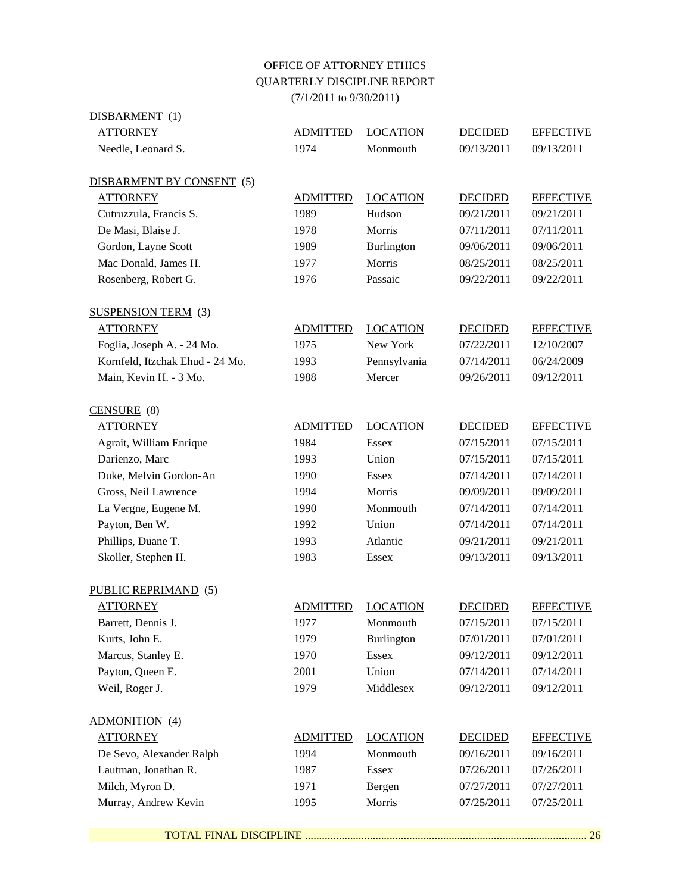## OFFICE OF ATTORNEY ETHICS QUARTERLY DISCIPLINE REPORT (7/1/2011 to 9/30/2011)

| DISBARMENT <sub>(1)</sub>       |                 |                   |                |                  |
|---------------------------------|-----------------|-------------------|----------------|------------------|
| <b>ATTORNEY</b>                 | <b>ADMITTED</b> | <b>LOCATION</b>   | <b>DECIDED</b> | <b>EFFECTIVE</b> |
| Needle, Leonard S.              | 1974            | Monmouth          | 09/13/2011     | 09/13/2011       |
| DISBARMENT BY CONSENT (5)       |                 |                   |                |                  |
| <b>ATTORNEY</b>                 | <b>ADMITTED</b> | <b>LOCATION</b>   | <b>DECIDED</b> | <b>EFFECTIVE</b> |
| Cutruzzula, Francis S.          | 1989            | Hudson            | 09/21/2011     | 09/21/2011       |
| De Masi, Blaise J.              | 1978            | Morris            | 07/11/2011     | 07/11/2011       |
| Gordon, Layne Scott             | 1989            | Burlington        | 09/06/2011     | 09/06/2011       |
| Mac Donald, James H.            | 1977            | Morris            | 08/25/2011     | 08/25/2011       |
| Rosenberg, Robert G.            | 1976            | Passaic           | 09/22/2011     | 09/22/2011       |
| <b>SUSPENSION TERM</b> (3)      |                 |                   |                |                  |
| <b>ATTORNEY</b>                 | <b>ADMITTED</b> | <b>LOCATION</b>   | <b>DECIDED</b> | <b>EFFECTIVE</b> |
| Foglia, Joseph A. - 24 Mo.      | 1975            | New York          | 07/22/2011     | 12/10/2007       |
| Kornfeld, Itzchak Ehud - 24 Mo. | 1993            | Pennsylvania      | 07/14/2011     | 06/24/2009       |
| Main, Kevin H. - 3 Mo.          | 1988            | Mercer            | 09/26/2011     | 09/12/2011       |
| $CENSURE$ (8)                   |                 |                   |                |                  |
| <b>ATTORNEY</b>                 | <b>ADMITTED</b> | <b>LOCATION</b>   | <b>DECIDED</b> | <b>EFFECTIVE</b> |
| Agrait, William Enrique         | 1984            | <b>Essex</b>      | 07/15/2011     | 07/15/2011       |
| Darienzo, Marc                  | 1993            | Union             | 07/15/2011     | 07/15/2011       |
| Duke, Melvin Gordon-An          | 1990            | <b>Essex</b>      | 07/14/2011     | 07/14/2011       |
| Gross, Neil Lawrence            | 1994            | Morris            | 09/09/2011     | 09/09/2011       |
| La Vergne, Eugene M.            | 1990            | Monmouth          | 07/14/2011     | 07/14/2011       |
| Payton, Ben W.                  | 1992            | Union             | 07/14/2011     | 07/14/2011       |
| Phillips, Duane T.              | 1993            | Atlantic          | 09/21/2011     | 09/21/2011       |
| Skoller, Stephen H.             | 1983            | Essex             | 09/13/2011     | 09/13/2011       |
| PUBLIC REPRIMAND (5)            |                 |                   |                |                  |
| <b>ATTORNEY</b>                 | <b>ADMITTED</b> | <b>LOCATION</b>   | <b>DECIDED</b> | <b>EFFECTIVE</b> |
| Barrett, Dennis J.              | 1977            | Monmouth          | 07/15/2011     | 07/15/2011       |
| Kurts, John E.                  | 1979            | <b>Burlington</b> | 07/01/2011     | 07/01/2011       |
| Marcus, Stanley E.              | 1970            | <b>Essex</b>      | 09/12/2011     | 09/12/2011       |
| Payton, Queen E.                | 2001            | Union             | 07/14/2011     | 07/14/2011       |
| Weil, Roger J.                  | 1979            | Middlesex         | 09/12/2011     | 09/12/2011       |
| <b>ADMONITION</b> (4)           |                 |                   |                |                  |
| <b>ATTORNEY</b>                 | <b>ADMITTED</b> | <b>LOCATION</b>   | <b>DECIDED</b> | <b>EFFECTIVE</b> |
| De Sevo, Alexander Ralph        | 1994            | Monmouth          | 09/16/2011     | 09/16/2011       |
| Lautman, Jonathan R.            | 1987            | Essex             | 07/26/2011     | 07/26/2011       |
| Milch, Myron D.                 | 1971            | Bergen            | 07/27/2011     | 07/27/2011       |
| Murray, Andrew Kevin            | 1995            | Morris            | 07/25/2011     | 07/25/2011       |
|                                 |                 |                   |                |                  |

TOTAL FINAL DISCIPLINE .................................................................................................... 26